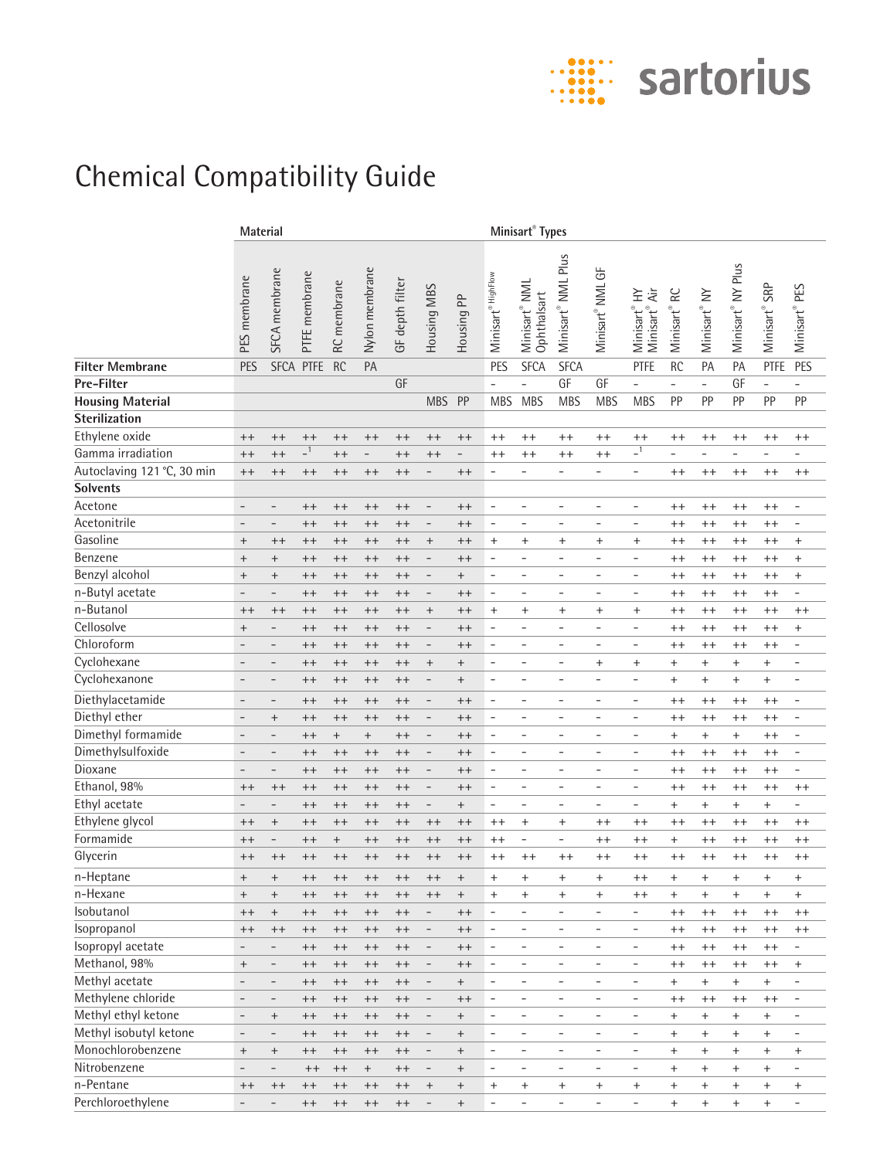

## Chemical Compatibility Guide

|                            | Material                 |                                  |               |             |                   |                 |                                  |                                  | Minisart <sup>®</sup> Types      |                                          |                                  |                                  |                                        |                          |                                  |                                  |                              |                                  |
|----------------------------|--------------------------|----------------------------------|---------------|-------------|-------------------|-----------------|----------------------------------|----------------------------------|----------------------------------|------------------------------------------|----------------------------------|----------------------------------|----------------------------------------|--------------------------|----------------------------------|----------------------------------|------------------------------|----------------------------------|
|                            | PES membrane             | SFCA membrane                    | PTFE membrane | RC membrane | Nylon membrane    | GF depth filter | Housing MBS                      | $\approx$<br>Housing F           | Minisart® HighFlow               | Minisart <sup>®</sup> NML<br>Ophthalsart | Minisart® NML Plus               | Minisart® NML GF                 | Äir<br>全<br>Minisart® H<br>Minisart® / | RC<br>Minisart®          | Minisart <sup>®</sup> NY         | Minisart <sup>®</sup> NY Plus    | SRP<br>Minisart <sup>®</sup> | Minisart® PES                    |
| <b>Filter Membrane</b>     | <b>PES</b>               |                                  | SFCA PTFE     | <b>RC</b>   | PA                |                 |                                  |                                  | PES                              | <b>SFCA</b>                              | <b>SFCA</b>                      |                                  | <b>PTFE</b>                            | <b>RC</b>                | PA                               | PA                               | PTFE                         | PES                              |
| Pre-Filter                 |                          |                                  |               |             |                   | GF              |                                  |                                  | $\overline{\phantom{a}}$         | L                                        | GF                               | GF                               | $\overline{a}$                         | ÷.                       | $\overline{\phantom{a}}$         | GF                               | $\overline{\phantom{0}}$     | $\overline{a}$                   |
| <b>Housing Material</b>    |                          |                                  |               |             |                   |                 | <b>MBS</b>                       | PP                               | <b>MBS</b>                       | <b>MBS</b>                               | <b>MBS</b>                       | <b>MBS</b>                       | <b>MBS</b>                             | PP                       | PP                               | PP                               | PP                           | PP                               |
| <b>Sterilization</b>       |                          |                                  |               |             |                   |                 |                                  |                                  |                                  |                                          |                                  |                                  |                                        |                          |                                  |                                  |                              |                                  |
| Ethylene oxide             | $++$                     | $++$                             | $^{++}$       | $^{++}$     | $^{++}$           | $++$            | $++$                             | $++$                             | $++$                             | $^{++}$                                  | $^{++}$                          | $++$                             | $^{++}$                                | $^{++}$                  | $^{++}$                          | $^{++}$                          | $^{++}$                      | $^{++}$                          |
| Gamma irradiation          | $^{++}$                  | $++$                             | $-1$          | $^{++}$     | $\qquad \qquad -$ | $^{++}$         | $^{++}$                          | $\qquad \qquad -$                | $^{++}$                          | $^{++}$                                  | $^{++}$                          | $^{++}$                          | $\overline{\phantom{0}}$               | $\overline{\phantom{0}}$ | ÷.                               | $\overline{\phantom{0}}$         | ÷                            | ÷,                               |
| Autoclaving 121 °C, 30 min | $^{++}$                  | $++$                             | $^{++}$       | $^{++}$     | $^{++}$           | $^{++}$         | $\overline{a}$                   | $^{++}$                          | $\overline{\phantom{a}}$         | $\overline{\phantom{0}}$                 | $\overline{\phantom{0}}$         | $\overline{\phantom{a}}$         | $\overline{\phantom{a}}$               | $^{++}$                  | $^{++}$                          | $^{++}$                          | $^{++}$                      | $^{++}$                          |
| <b>Solvents</b>            |                          |                                  |               |             |                   |                 |                                  |                                  |                                  |                                          |                                  |                                  |                                        |                          |                                  |                                  |                              |                                  |
| Acetone                    | $\overline{\phantom{a}}$ | $\overline{\phantom{a}}$         | $++$          | $^{++}$     | $^{++}$           | $^{++}$         | $\qquad \qquad -$                | $++$                             | $\overline{\phantom{a}}$         | Ξ                                        | $\overline{\phantom{a}}$         | $\overline{\phantom{a}}$         | $\overline{\phantom{a}}$               | $^{++}$                  | $^{++}$                          | $^{++}$                          | $^{++}$                      | $\overline{\phantom{a}}$         |
| Acetonitrile               | $\overline{\phantom{a}}$ | $\qquad \qquad -$                | $++$          | $^{++}$     | $^{++}$           | $++$            | $\qquad \qquad -$                | $^{++}$                          | $\overline{\phantom{a}}$         | L,                                       | $\overline{\phantom{a}}$         | $\bar{ }$                        | $\overline{\phantom{a}}$               | $^{++}$                  | $^{++}$                          | $^{++}$                          | $^{++}$                      | $\overline{\phantom{a}}$         |
| Gasoline                   | $^{+}$                   | $++$                             | $^{++}$       | $^{++}$     | $^{++}$           | $^{++}$         | $\begin{array}{c} + \end{array}$ | $^{++}$                          | $\ddot{}$                        | $\ddot{}$                                | $\ddot{}$                        | $\begin{array}{c} + \end{array}$ | $\begin{array}{c} + \end{array}$       | $^{++}$                  | $^{++}$                          | $^{++}$                          | $^{++}$                      | $^{+}$                           |
| Benzene                    | $^{+}$                   | $\! +$                           | $++$          | $^{++}$     | $++$              | $^{++}$         | $\qquad \qquad -$                | $^{++}$                          | $\overline{\phantom{a}}$         | L,                                       | $\sim$                           | $\overline{\phantom{a}}$         | $\overline{\phantom{a}}$               | $^{++}$                  | $^{++}$                          | $^{++}$                          | $^{++}$                      | $^{+}$                           |
| Benzyl alcohol             | $^{+}$                   | $\! +$                           | $++$          | $^{++}$     | $^{++}$           | $^{++}$         | $\qquad \qquad -$                | $^{+}$                           | $\overline{\phantom{a}}$         | ÷                                        | $\sim$                           | $\overline{\phantom{a}}$         | $\overline{\phantom{a}}$               | $^{++}$                  | $++$                             | $^{++}$                          | $^{++}$                      | $^{+}$                           |
| n-Butyl acetate            | $\overline{\phantom{0}}$ | $\overline{\phantom{a}}$         | $++$          | $++$        | $++$              | $++$            | $\qquad \qquad -$                | $^{++}$                          | $\overline{\phantom{a}}$         | ÷                                        | $\overline{\phantom{a}}$         | $\overline{\phantom{a}}$         | $\overline{\phantom{a}}$               | $++$                     | $++$                             | $++$                             | $^{++}$                      | $\overline{\phantom{a}}$         |
| n-Butanol                  | $++$                     | $^{++}$                          | $++$          | $++$        | $++$              | $++$            | $^{+}$                           | $^{++}$                          | $\ddot{}$                        | $\ddot{}$                                | $\ddot{}$                        | $\ddot{}$                        | $\ddot{}$                              | $^{++}$                  | $++$                             | $^{++}$                          | $++$                         | $^{++}$                          |
| Cellosolve                 | $^{+}$                   | $\qquad \qquad -$                | $^{++}$       | $^{++}$     | $++$              | $^{++}$         | $\overline{\phantom{a}}$         | $++$                             | $\overline{\phantom{a}}$         | $\overline{\phantom{0}}$                 | $\overline{\phantom{a}}$         | $\overline{\phantom{a}}$         | $\overline{\phantom{a}}$               | $++$                     | $++$                             | $^{++}$                          | $++$                         | $\ddot{}$                        |
| Chloroform                 | $\overline{\phantom{0}}$ | $\overline{\phantom{a}}$         | $^{++}$       | $^{++}$     | $++$              | $++$            | $\qquad \qquad -$                | $^{++}$                          | $\overline{\phantom{a}}$         | $\overline{\phantom{0}}$                 | $\overline{\phantom{a}}$         | $\overline{\phantom{a}}$         | $\overline{\phantom{a}}$               | $^{++}$                  | $^{++}$                          | $^{++}$                          | $++$                         | $\overline{\phantom{a}}$         |
| Cyclohexane                | $\overline{\phantom{a}}$ | $\qquad \qquad -$                | $^{++}$       | $^{++}$     | $++$              | $++$            | $^{+}$                           | $\! +$                           | $\overline{\phantom{a}}$         | $\overline{a}$                           | $\overline{\phantom{a}}$         | $\ddot{}$                        | $\ddot{}$                              | $\ddot{}$                | $\ddot{}$                        | $\ddot{}$                        | $\ddot{}$                    | $\overline{\phantom{a}}$         |
| Cyclohexanone              | -                        | $\overline{\phantom{a}}$         | $^{++}$       | $^{++}$     | $^{++}$           | $^{++}$         | $\qquad \qquad -$                | $^{+}$                           | $\overline{\phantom{a}}$         |                                          | $\overline{\phantom{a}}$         | $\overline{\phantom{a}}$         | ÷                                      | $\ddot{}$                | $\ddot{}$                        | $\ddot{}$                        | $\ddot{}$                    | $\overline{a}$                   |
| Diethylacetamide           | $\overline{\phantom{a}}$ | $\overline{\phantom{a}}$         | $++$          | $^{++}$     | $^{++}$           | $^{++}$         | $\overline{\phantom{m}}$         | $++$                             | $\overline{\phantom{a}}$         | $\overline{a}$                           | $\overline{\phantom{a}}$         | $\overline{\phantom{a}}$         | $\overline{\phantom{a}}$               | $^{++}$                  | $^{++}$                          | $^{++}$                          | $^{++}$                      | $\overline{\phantom{a}}$         |
| Diethyl ether              | $\overline{\phantom{a}}$ | $^{+}$                           | $^{++}$       | $^{++}$     | $^{++}$           | $^{++}$         | $\overline{\phantom{0}}$         | $++$                             | $\overline{\phantom{a}}$         | $\overline{a}$                           | $\overline{\phantom{a}}$         | $\overline{\phantom{a}}$         | $\overline{\phantom{a}}$               | $^{++}$                  | $^{++}$                          | $^{++}$                          | $^{++}$                      | $\overline{\phantom{a}}$         |
| Dimethyl formamide         | $\qquad \qquad -$        | $\overline{\phantom{a}}$         | $^{++}$       | $^{+}$      | $^{+}$            | $^{++}$         | $\overline{\phantom{m}}$         | $++$                             | $\overline{\phantom{a}}$         | $\overline{a}$                           | $\overline{\phantom{a}}$         | $\overline{\phantom{a}}$         | $\overline{\phantom{a}}$               | $^{+}$                   | $^{+}$                           | $\begin{array}{c} + \end{array}$ | $^{++}$                      | $\qquad \qquad -$                |
| Dimethylsulfoxide          | $\qquad \qquad -$        | $\overline{\phantom{a}}$         | $^{++}$       | $^{++}$     | $^{++}$           | $^{++}$         | $\qquad \qquad -$                | $++$                             | $\overline{\phantom{a}}$         | $\overline{a}$                           | $\overline{\phantom{a}}$         | $\overline{\phantom{a}}$         | $\overline{\phantom{a}}$               | $++$                     | $^{++}$                          | $^{++}$                          | $^{++}$                      | $\overline{\phantom{a}}$         |
| Dioxane                    | $\qquad \qquad -$        | $\overline{\phantom{a}}$         | $++$          | $^{++}$     | $^{++}$           | $++$            | $\qquad \qquad -$                | $^{++}$                          | $\overline{\phantom{a}}$         | Ξ                                        | $\overline{\phantom{a}}$         | $\overline{\phantom{a}}$         | $\overline{\phantom{a}}$               | $^{++}$                  | $^{++}$                          | $^{++}$                          | $^{++}$                      | $\overline{\phantom{a}}$         |
| Ethanol, 98%               | $++$                     | $++$                             | $++$          | $^{++}$     | $^{++}$           | $++$            | $\qquad \qquad -$                | $^{++}$                          | $\overline{\phantom{a}}$         | $\overline{a}$                           | $\overline{\phantom{a}}$         | $\overline{\phantom{a}}$         | $\overline{\phantom{a}}$               | $^{++}$                  | $^{++}$                          | $^{++}$                          | $^{++}$                      | $^{++}$                          |
| Ethyl acetate              | $\qquad \qquad -$        | $\overline{a}$                   | $^{++}$       | $^{++}$     | $^{++}$           | $^{++}$         | $\qquad \qquad -$                | $^{+}$                           | $\overline{\phantom{a}}$         | -                                        | $\overline{\phantom{a}}$         | $\overline{\phantom{a}}$         | $\overline{\phantom{a}}$               | $\ddot{}$                | $\pmb{+}$                        | $\ddot{}$                        | $\ddot{}$                    | $\overline{\phantom{0}}$         |
| Ethylene glycol            | $^{++}$                  | $\begin{array}{c} + \end{array}$ | $^{++}$       | $^{++}$     | $++$              | $^{++}$         | $^{++}$                          | $^{++}$                          | $^{++}$                          | $\ddot{}$                                | $\ddot{}$                        | $^{++}$                          | $^{++}$                                | $^{++}$                  | $^{++}$                          | $^{++}$                          | $^{++}$                      | $^{++}$                          |
| Formamide                  | $^{++}$                  | $\qquad \qquad -$                | $^{++}$       | $^{+}$      | $++$              | $^{++}$         | $^{++}$                          | $^{++}$                          | $^{++}$                          | ÷                                        | $\overline{\phantom{0}}$         | $^{++}$                          | $^{++}$                                | $\ddot{}$                | $^{++}$                          | $^{++}$                          | $^{++}$                      | $^{++}$                          |
| Glycerin                   | $++$                     | $++$                             | $^{++}$       | $++$        | $++$              | $++$            | $^{++}$                          | $^{++}$                          | $^{++}$                          | $^{++}$                                  | $^{++}$                          | $^{++}$                          | $^{++}$                                | $^{++}$                  | $++$                             | $^{++}$                          | $^{++}$                      | $^{++}$                          |
| n-Heptane                  | $^{+}$                   | $^{+}$                           | $^{++}$       | $++$        | $++$              | $++$            | $^{++}$                          | $^{+}$                           | $^+$                             | $\ddot{}$                                | $^{+}$                           | $\ddot{}$                        | $^{++}$                                | $\ddot{}$                | $\pm$                            | $\ddot{}$                        | $\ddot{}$                    | $^+$                             |
| n-Hexane                   | $^{+}$                   | $\begin{array}{c} + \end{array}$ | $^{++}$       | $^{++}$     | $^{++}$           | $++$            | $^{++}$                          | $\begin{array}{c} + \end{array}$ | $^{+}$                           | $\ddot{}$                                | $^{+}$                           | $^{+}$                           | $^{++}$                                | $^{+}$                   | $\ddot{}$                        | $\ddot{}$                        | $^{+}$                       | $\ddot{}$                        |
| Isobutanol                 | $^{++}$                  | $^{\mathrm{+}}$                  | $++$          | $^{++}$     | $^{++}$           | $++$            | $\overline{\phantom{0}}$         | $^{++}$                          | $\overline{\phantom{a}}$         | $\overline{\phantom{0}}$                 | $\overline{\phantom{a}}$         | $\overline{\phantom{a}}$         | $\overline{\phantom{a}}$               | $^{++}$                  | $^{++}$                          | $^{++}$                          | $++$                         | $^{++}$                          |
| Isopropanol                | $^{++}$                  | $^{++}$                          | $^{++}$       | $^{++}$     | $^{++}$           | $++$            | $\overline{\phantom{0}}$         | $^{++}$                          | $\overline{\phantom{a}}$         | -                                        | $\overline{\phantom{a}}$         | $\overline{\phantom{a}}$         | $\overline{\phantom{a}}$               | $^{++}$                  | $^{++}$                          | $^{++}$                          | $^{++}$                      | $^{++}$                          |
| Isopropyl acetate          | $\overline{\phantom{a}}$ | $\overline{\phantom{m}}$         | $^{++}$       | $^{++}$     | $^{++}$           | $^{++}$         | $\overline{\phantom{a}}$         | $^{++}$                          | $\overline{\phantom{a}}$         | -                                        | $\overline{\phantom{a}}$         | $\overline{\phantom{a}}$         | $\overline{\phantom{a}}$               | $^{++}$                  | $^{++}$                          | $^{++}$                          | $^{++}$                      | -                                |
| Methanol, 98%              | $^{+}$                   | $\overline{\phantom{m}}$         | $^{++}$       | $^{++}$     | $^{++}$           | $^{++}$         | $\overline{\phantom{a}}$         | $^{++}$                          | $\overline{\phantom{a}}$         | -                                        | $\overline{\phantom{a}}$         | $\overline{\phantom{a}}$         | $\overline{\phantom{a}}$               | $^{++}$                  | $^{++}$                          | $^{++}$                          | $^{++}$                      | $\ddot{}$                        |
| Methyl acetate             | $\overline{\phantom{0}}$ | $\qquad \qquad -$                | $^{++}$       | $^{++}$     | $^{++}$           | $^{++}$         | $\overline{\phantom{a}}$         | $^{+}$                           | $\overline{\phantom{a}}$         | -                                        | $\overline{\phantom{a}}$         | $\overline{\phantom{a}}$         | $\overline{\phantom{a}}$               | $+$                      | $\boldsymbol{+}$                 | $+$                              | $^{+}$                       | $\overline{\phantom{a}}$         |
| Methylene chloride         | $\overline{\phantom{m}}$ | $\overline{\phantom{0}}$         | $^{++}$       | $^{++}$     | $^{++}$           | $^{++}$         | $\overline{\phantom{a}}$         | $++$                             | $\overline{\phantom{a}}$         | $\overline{\phantom{0}}$                 | $\overline{\phantom{a}}$         | $\overline{\phantom{a}}$         | $\qquad \qquad \blacksquare$           | $^{++}$                  | $^{++}$                          | $^{++}$                          | $^{++}$                      | $\overline{\phantom{a}}$         |
| Methyl ethyl ketone        | $\overline{\phantom{0}}$ | $^+$                             | $^{++}$       | $^{++}$     | $^{++}$           | $^{++}$         | $\qquad \qquad -$                | $^{+}$                           | $\overline{\phantom{a}}$         | -                                        | $\overline{\phantom{a}}$         | $\overline{\phantom{a}}$         | $\overline{\phantom{a}}$               | $^{+}$                   | $\begin{array}{c} + \end{array}$ | $^{+}$                           | $^{+}$                       | $\qquad \qquad \blacksquare$     |
| Methyl isobutyl ketone     | $\overline{\phantom{0}}$ | $\qquad \qquad -$                | $^{++}$       | $^{++}$     | $^{++}$           | $^{++}$         | $\overline{\phantom{a}}$         | $\begin{array}{c} + \end{array}$ | $\overline{\phantom{a}}$         | $\overline{\phantom{0}}$                 | $\overline{\phantom{a}}$         | $\overline{\phantom{a}}$         | $\qquad \qquad \blacksquare$           | $^{+}$                   | $\begin{array}{c} + \end{array}$ | $\begin{array}{c} + \end{array}$ | $^{+}$                       | $\overline{\phantom{a}}$         |
| Monochlorobenzene          | $\! + \!\!\!\!$          | $^{\mathrm{+}}$                  | $^{++}$       | $++$        | $^{++}$           | $^{++}$         | $\overline{\phantom{0}}$         | $^{+}$                           | $\overline{\phantom{a}}$         | $\overline{\phantom{0}}$                 | $\overline{\phantom{a}}$         | $\overline{\phantom{a}}$         | $\overline{\phantom{a}}$               | $^{+}$                   | $^{+}$                           | $\, +$                           | $^{+}$                       | $\begin{array}{c} + \end{array}$ |
| Nitrobenzene               | $\overline{\phantom{0}}$ | $\qquad \qquad -$                | $^{++}$       | $^{++}$     | $^{+}$            | $^{++}$         | $\overline{\phantom{0}}$         | $^{+}$                           | $\overline{\phantom{a}}$         | $\overline{\phantom{a}}$                 | $\overline{\phantom{a}}$         | $\overline{\phantom{a}}$         | $\overline{\phantom{a}}$               | $^{+}$                   | $^{+}$                           | $\begin{array}{c} + \end{array}$ | $^{+}$                       | $\overline{\phantom{a}}$         |
| n-Pentane                  | $^{++}$                  | $^{++}$                          | $++$          | $^{++}$     | $^{++}$           | $^{++}$         | $\begin{array}{c} + \end{array}$ | $\! + \!\!\!\!$                  | $\begin{array}{c} + \end{array}$ | $\begin{array}{c} + \end{array}$         | $\begin{array}{c} + \end{array}$ | $\begin{array}{c} + \end{array}$ | $\begin{array}{c} + \end{array}$       | $^{+}$                   | $\begin{array}{c} + \end{array}$ | $\begin{array}{c} + \end{array}$ | $^{+}$                       | $\begin{array}{c} + \end{array}$ |
| Perchloroethylene          | $\overline{\phantom{0}}$ | $\qquad \qquad -$                | $++$          | $^{++}$     | $++$              | $++$            | $\qquad \qquad -$                | $\qquad \qquad +$                | $\omega$                         | $\overline{a}$                           | $\equiv$                         | $\overline{\phantom{a}}$         | $\equiv$                               | $+$                      | $+$                              | $^{+}$                           | $+$                          | $\overline{\phantom{a}}$         |
|                            |                          |                                  |               |             |                   |                 |                                  |                                  |                                  |                                          |                                  |                                  |                                        |                          |                                  |                                  |                              |                                  |